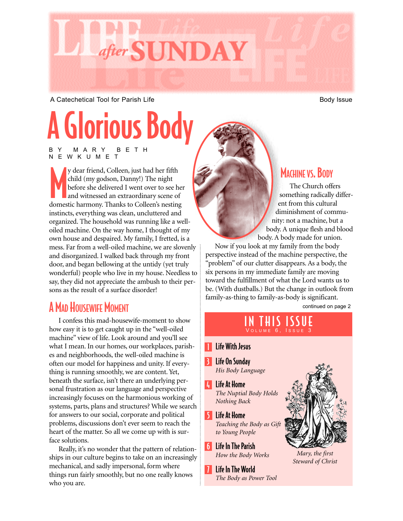

A Catechetical Tool for Parish Life Body Issue Body Issue

# A Glorious Body

BY MARY BETH NEWKUMET

y dear friend, Colleen, just had her fifth<br>child (my godson, Danny!) The night<br>before she delivered I went over to see he<br>and witnessed an extraordinary scene of<br>domestic harmony. Thanks to Colleen's nesting y dear friend, Colleen, just had her fifth child (my godson, Danny!) The night before she delivered I went over to see her and witnessed an extraordinary scene of instincts, everything was clean, uncluttered and organized. The household was running like a welloiled machine. On the way home, I thought of my own house and despaired. My family, I fretted, is a mess. Far from a well-oiled machine, we are slovenly and disorganized. I walked back through my front door, and began bellowing at the untidy (yet truly wonderful) people who live in my house. Needless to say, they did not appreciate the ambush to their persons as the result of a surface disorder!

### A MAD HOUSEWIFE MOMENT

I confess this mad-housewife-moment to show how easy it is to get caught up in the "well-oiled machine" view of life. Look around and you'll see what I mean. In our homes, our workplaces, parishes and neighborhoods, the well-oiled machine is often our model for happiness and unity. If everything is running smoothly, we are content. Yet, beneath the surface, isn't there an underlying personal frustration as our language and perspective increasingly focuses on the harmonious working of systems, parts, plans and structures? While we search for answers to our social, corporate and political problems, discussions don't ever seem to reach the heart of the matter. So all we come up with is surface solutions.

Really, it's no wonder that the pattern of relationships in our culture begins to take on an increasingly mechanical, and sadly impersonal, form where things run fairly smoothly, but no one really knows who you are.

#### MACHINE VS. BODY

The Church offers something radically different from this cultural diminishment of community: not a machine, but a body. A unique flesh and blood body. A body made for union.

Now if you look at my family from the body perspective instead of the machine perspective, the "problem" of our clutter disappears. As a body, the six persons in my immediate family are moving toward the fulfillment of what the Lord wants us to be. (With dustballs.) But the change in outlook from family-as-thing to family-as-body is significant.

continued on page 2

## IN THIS ISSUE

- **T** Life With Jesus
- **B** Life On Sunday *His Body Language*
- 4 Life At Home *The Nuptial Body Holds Nothing Back*
- 5 Life At Home *Teaching the Body as Gift to Young People*
- 6 Life In The Parish *How the Body Works*
- 7 Life In The World *The Body as Power Tool*



*Mary, the first Steward of Christ*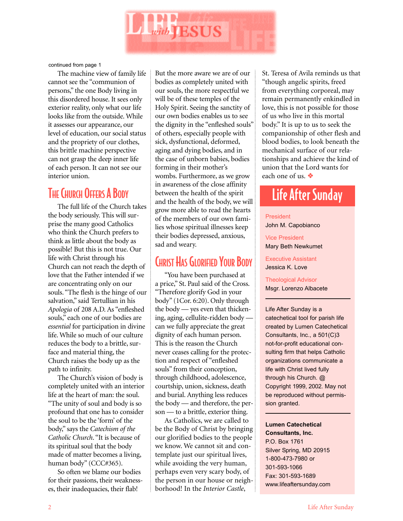

continued from page 1

The machine view of family life cannot see the "communion of persons," the one Body living in this disordered house. It sees only exterior reality, only what our life looks like from the outside. While it assesses our appearance, our level of education, our social status and the propriety of our clothes, this brittle machine perspective can not grasp the deep inner life of each person. It can not see our interior union.

### THE CHURCH OFFERS A BODY

The full life of the Church takes the body seriously. This will surprise the many good Catholics who think the Church prefers to think as little about the body as possible! But this is not true. Our life with Christ through his Church can not reach the depth of love that the Father intended if we are concentrating only on our souls. "The flesh is the hinge of our salvation," said Tertullian in his *Apologia* of 208 A.D. As "enfleshed souls," each one of our bodies are *essential* for participation in divine life. While so much of our culture reduces the body to a brittle, surface and material thing, the Church raises the body up as the path to infinity.

The Church's vision of body is completely united with an interior life at the heart of man: the soul. "The unity of soul and body is so profound that one has to consider the soul to be the 'form' of the body," says the *Catechism of the Catholic Church*. "It is because of its spiritual soul that the body made of matter becomes a living, human body" (CCC#365).

So often we blame our bodies for their passions, their weaknesses, their inadequacies, their flab!

But the more aware we are of our bodies as completely united with our souls, the more respectful we will be of these temples of the Holy Spirit. Seeing the sanctity of our own bodies enables us to see the dignity in the "enfleshed souls" of others, especially people with sick, dysfunctional, deformed, aging and dying bodies, and in the case of unborn babies, bodies forming in their mother's wombs. Furthermore, as we grow in awareness of the close affinity between the health of the spirit and the health of the body, we will grow more able to read the hearts of the members of our own families whose spiritual illnesses keep their bodies depressed, anxious, sad and weary.

#### **CHRIST HAS GLORIFIED YOUR BODY**

"You have been purchased at a price," St. Paul said of the Cross. "Therefore glorify God in your body" (1Cor. 6:20). Only through the body — yes even that thickening, aging, cellulite-ridden body can we fully appreciate the great dignity of each human person. This is the reason the Church never ceases calling for the protection and respect of "enfleshed souls" from their conception, through childhood, adolescence, courtship, union, sickness, death and burial. Anything less reduces the body — and therefore, the person — to a brittle, exterior thing.

As Catholics, we are called to be the Body of Christ by bringing our glorified bodies to the people we know. We cannot sit and contemplate just our spiritual lives, while avoiding the very human, perhaps even very scary body, of the person in our house or neighborhood! In the *Interior Castle*,

St. Teresa of Avila reminds us that "though angelic spirits, freed from everything corporeal, may remain permanently enkindled in love, this is not possible for those of us who live in this mortal body." It is up to us to seek the companionship of other flesh and blood bodies, to look beneath the mechanical surface of our relationships and achieve the kind of union that the Lord wants for each one of us. ❖

## Life After Sunday

#### President John M. Capobianco

Vice President Mary Beth Newkumet

Executive Assistant Jessica K. Love

Theological Advisor Msgr. Lorenzo Albacete

Life After Sunday is a catechetical tool for parish life created by Lumen Catechetical Consultants, Inc., a 501(C)3 not-for-profit educational consulting firm that helps Catholic organizations communicate a life with Christ lived fully through his Church. @ Copyright 1999, 2002. May not be reproduced without permission granted.

**Lumen Catechetical Consultants, Inc.** P.O. Box 1761 Silver Spring, MD 20915 1-800-473-7980 or 301-593-1066 Fax: 301-593-1689 www.lifeaftersunday.com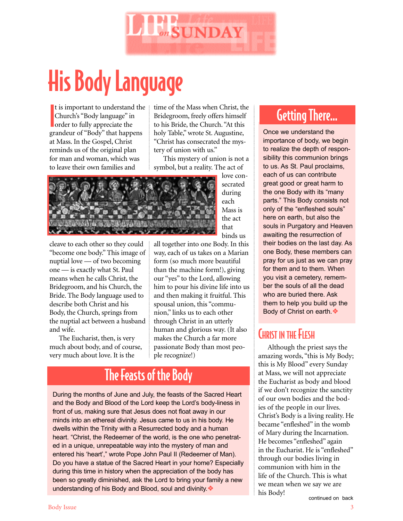

## His Body Language

I t is important to understand the Church's "Body language" in order to fully appreciate the grandeur of "Body" that happens at Mass. In the Gospel, Christ reminds us of the original plan for man and woman, which was to leave their own families and

time of the Mass when Christ, the Bridegroom, freely offers himself to his Bride, the Church. "At this holy Table," wrote St. Augustine, "Christ has consecrated the mystery of union with us."

This mystery of union is not a symbol, but a reality. The act of

> love consecrated during each Mass is the act that binds us



cleave to each other so they could "become one body." This image of nuptial love — of two becoming one — is exactly what St. Paul means when he calls Christ, the Bridegroom, and his Church, the Bride. The Body language used to describe both Christ and his Body, the Church, springs from the nuptial act between a husband and wife.

The Eucharist, then, is very much about body, and of course, very much about love. It is the

all together into one Body. In this way, each of us takes on a Marian form (so much more beautiful than the machine form!), giving our "yes" to the Lord, allowing him to pour his divine life into us and then making it fruitful. This spousal union, this "communion," links us to each other through Christ in an utterly human and glorious way. (It also makes the Church a far more passionate Body than most people recognize!)

## The Feasts of the Body

During the months of June and July, the feasts of the Sacred Heart and the Body and Blood of the Lord keep the Lord's body-liness in front of us, making sure that Jesus does not float away in our minds into an ethereal divinity. Jesus came to us in his body. He dwells within the Trinity with a Resurrected body and a human heart. "Christ, the Redeemer of the world, is the one who penetrated in a unique, unrepeatable way into the mystery of man and entered his 'heart'," wrote Pope John Paul II (Redeemer of Man). Do you have a statue of the Sacred Heart in your home? Especially during this time in history when the appreciation of the body has been so greatly diminished, ask the Lord to bring your family a new understanding of his Body and Blood, soul and divinity.❖

## Getting There…

Once we understand the importance of body, we begin to realize the depth of responsibility this communion brings to us. As St. Paul proclaims, each of us can contribute great good or great harm to the one Body with its "many parts." This Body consists not only of the "enfleshed souls" here on earth, but also the souls in Purgatory and Heaven awaiting the resurrection of their bodies on the last day. As one Body, these members can pray for us just as we can pray for them and to them. When you visit a cemetery, remember the souls of all the dead who are buried there. Ask them to help you build up the Body of Christ on earth.❖

#### CHRIST IN THE FLESH

Although the priest says the amazing words, "this is My Body; this is My Blood" every Sunday at Mass, we will not appreciate the Eucharist as body and blood if we don't recognize the sanctity of our own bodies and the bodies of the people in our lives. Christ's Body is a living reality. He became "enfleshed" in the womb of Mary during the Incarnation. He becomes "enfleshed" again in the Eucharist. He is "enfleshed" through our bodies living in communion with him in the life of the Church. This is what we mean when we say we are his Body!

continued on back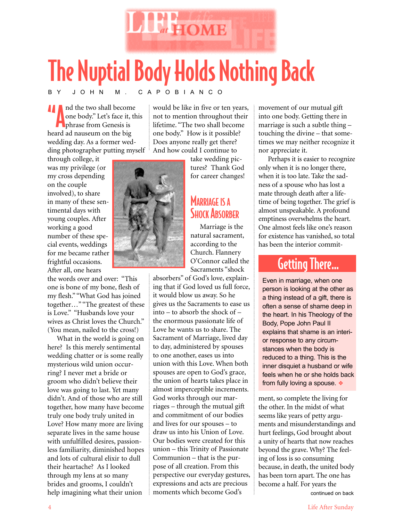

# The Nuptial Body Holds Nothing Back

#### BY JOHN M. CAPOBIANCO

**And the two shall become** one body." Let's face it, this **Phrase from Genesis is** heard ad nauseum on the big wedding day. As a former wedding photographer putting myself would be like in five or ten years, not to mention throughout their lifetime. "The two shall become one body." How is it possible? Does anyone really get there? And how could I continue to

through college, it was my privilege (or my cross depending on the couple involved), to share in many of these sentimental days with young couples. After working a good number of these special events, weddings for me became rather frightful occasions. After all, one hears

the words over and over: "This one is bone of my bone, flesh of my flesh." "What God has joined together…" "The greatest of these is Love." "Husbands love your wives as Christ loves the Church." (You mean, nailed to the cross!)

What in the world is going on here? Is this merely sentimental wedding chatter or is some really mysterious wild union occurring? I never met a bride or groom who didn't believe their love was going to last. Yet many didn't. And of those who are still together, how many have become truly one body truly united in Love? How many more are living separate lives in the same house with unfulfilled desires, passionless familiarity, diminished hopes and lots of cultural elixir to dull their heartache? As I looked through my lens at so many brides and grooms, I couldn't help imagining what their union



take wedding pic-

tures? Thank God for career changes!

#### **MARRIAGE IS A SHOCK ABSORBER**

Marriage is the natural sacrament, according to the Church. Flannery O'Connor called the Sacraments "shock

absorbers" of God's love, explaining that if God loved us full force, it would blow us away. So he gives us the Sacraments to ease us into – to absorb the shock of – the enormous passionate life of Love he wants us to share. The Sacrament of Marriage, lived day to day, administered by spouses to one another, eases us into union with this Love. When both spouses are open to God's grace, the union of hearts takes place in almost imperceptible increments. God works through our marriages – through the mutual gift and commitment of our bodies and lives for our spouses – to draw us into his Union of Love. Our bodies were created for this union – this Trinity of Passionate Communion – that is the purpose of all creation. From this perspective our everyday gestures, expressions and acts are precious moments which become God's

movement of our mutual gift into one body. Getting there in marriage is such a subtle thing – touching the divine – that sometimes we may neither recognize it nor appreciate it.

Perhaps it is easier to recognize only when it is no longer there, when it is too late. Take the sadness of a spouse who has lost a mate through death after a lifetime of being together. The grief is almost unspeakable. A profound emptiness overwhelms the heart. One almost feels like one's reason for existence has vanished, so total has been the interior commit-

## Getting There…

Even in marriage, when one person is looking at the other as a thing instead of a gift, there is often a sense of shame deep in the heart. In his Theology of the Body, Pope John Paul II explains that shame is an interior response to any circumstances when the body is reduced to a thing. This is the inner disquiet a husband or wife feels when he or she holds back from fully loving a spouse. ❖

ment, so complete the living for the other. In the midst of what seems like years of petty arguments and misunderstandings and hurt feelings, God brought about a unity of hearts that now reaches beyond the grave. Why? The feeling of loss is so consuming because, in death, the united body has been torn apart. The one has become a half. For years the

continued on back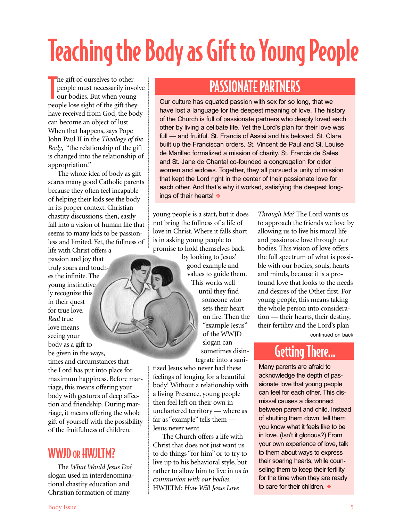# Teaching the Body as Gift to Young People

The gift of ourselves to other<br>people must necessarily inv<br>our bodies. But when youn people must necessarily involve our bodies. But when young people lose sight of the gift they have received from God, the body can become an object of lust. When that happens, says Pope John Paul II in the *Theology of the Body*, "the relationship of the gift is changed into the relationship of appropriation."

The whole idea of body as gift scares many good Catholic parents because they often feel incapable of helping their kids see the body in its proper context. Christian chastity discussions, then, easily fall into a vision of human life that seems to many kids to be passionless and limited. Yet, the fullness of life with Christ offers a

passion and joy that truly soars and touches the infinite. The young instinctively recognize this in their quest for true love. *Real* true love means seeing your body as a gift to be given in the ways, times and circumstances that the Lord has put into place for maximum happiness. Before marriage, this means offering your body with gestures of deep affection and friendship. During marriage, it means offering the whole gift of yourself with the possibility of the fruitfulness of children.

### WWJD OR HWJITM?

The *What Would Jesus Do?* slogan used in interdenominational chastity education and Christian formation of many

## PASSIONATE PARTNERS

Our culture has equated passion with sex for so long, that we have lost a language for the deepest meaning of love. The history of the Church is full of passionate partners who deeply loved each other by living a celibate life. Yet the Lord's plan for their love was full — and fruitful. St. Francis of Assisi and his beloved. St. Clare, built up the Franciscan orders. St. Vincent de Paul and St. Louise de Marillac formalized a mission of charity. St. Francis de Sales and St. Jane de Chantal co-founded a congregation for older women and widows. Together, they all pursued a unity of mission that kept the Lord right in the center of their passionate love for each other. And that's why it worked, satisfying the deepest longings of their hearts! ❖

young people is a start, but it does not bring the fullness of a life of love in Christ. Where it falls short is in asking young people to promise to hold themselves back

by looking to Jesus' good example and values to guide them. This works well until they find someone who sets their heart on fire. Then the "example Jesus" of the WWJD slogan can sometimes disintegrate into a sani-

tized Jesus who never had these feelings of longing for a beautiful body! Without a relationship with a living Presence, young people then feel left on their own in unchartered territory — where as far as "example" tells them — Jesus never went.

The Church offers a life with Christ that does not just want us to do things "for him" or to try to live up to his behavioral style, but rather to allow him to live in us *in communion with our bodies.* HWJLTM: *How Will Jesus Love*

*Through Me?* The Lord wants us to approach the friends we love by allowing us to live his moral life and passionate love through our bodies. This vision of love offers the full spectrum of what is possible with our bodies, souls, hearts and minds, because it is a profound love that looks to the needs and desires of the Other first. For young people, this means taking the whole person into consideration — their hearts, their destiny, their fertility and the Lord's plan

continued on back

### Getting There…

Many parents are afraid to acknowledge the depth of passionate love that young people can feel for each other. This dismissal causes a disconnect between parent and child. Instead of shutting them down, tell them you know what it feels like to be in love. (Isn't it glorious?) From your own experience of love, talk to them about ways to express their soaring hearts, while counseling them to keep their fertility for the time when they are ready to care for their children. ❖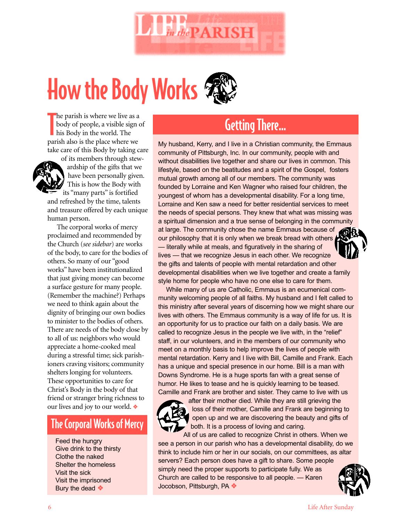

# How the Body Works

The parish is where we live as a body of people, a visible sign<br>his Body in the world. The<br>parish also is the place where we he parish is where we live as a body of people, a visible sign of his Body in the world. The take care of this Body by taking care

of its members through stewardship of the gifts that we have been personally given. This is how the Body with its "many parts" is fortified and refreshed by the time, talents and treasure offered by each unique human person.

The corporal works of mercy proclaimed and recommended by the Church (*see sidebar*) are works of the body, to care for the bodies of others. So many of our "good works" have been institutionalized that just giving money can become a surface gesture for many people. (Remember the machine?) Perhaps we need to think again about the dignity of bringing our own bodies to minister to the bodies of others. There are needs of the body close by to all of us: neighbors who would appreciate a home-cooked meal during a stressful time; sick parishioners craving visitors; community shelters longing for volunteers. These opportunities to care for Christ's Body in the body of that friend or stranger bring richness to our lives and joy to our world. ❖

#### The Corporal Works of Mercy

Feed the hungry Give drink to the thirsty Clothe the naked Shelter the homeless Visit the sick Visit the imprisoned Bury the dead ❖

## Getting There…

My husband, Kerry, and I live in a Christian community, the Emmaus community of Pittsburgh, Inc. In our community, people with and without disabilities live together and share our lives in common. This lifestyle, based on the beatitudes and a spirit of the Gospel, fosters mutual growth among all of our members. The community was founded by Lorraine and Ken Wagner who raised four children, the youngest of whom has a developmental disability. For a long time, Lorraine and Ken saw a need for better residential services to meet the needs of special persons. They knew that what was missing was a spiritual dimension and a true sense of belonging in the community at large. The community chose the name Emmaus because of our philosophy that it is only when we break bread with others — literally while at meals, and figuratively in the sharing of lives — that we recognize Jesus in each other. We recognize the gifts and talents of people with mental retardation and other developmental disabilities when we live together and create a family style home for people who have no one else to care for them.

While many of us are Catholic, Emmaus is an ecumenical community welcoming people of all faiths. My husband and I felt called to this ministry after several years of discerning how we might share our lives with others. The Emmaus community is a way of life for us. It is an opportunity for us to practice our faith on a daily basis. We are called to recognize Jesus in the people we live with, in the "relief" staff, in our volunteers, and in the members of our community who meet on a monthly basis to help improve the lives of people with mental retardation. Kerry and I live with Bill, Camille and Frank. Each has a unique and special presence in our home. Bill is a man with Downs Syndrome. He is a huge sports fan with a great sense of humor. He likes to tease and he is quickly learning to be teased. Camille and Frank are brother and sister. They came to live with us



after their mother died. While they are still grieving the loss of their mother, Camille and Frank are beginning to open up and we are discovering the beauty and gifts of both. It is a process of loving and caring.

All of us are called to recognize Christ in others. When we see a person in our parish who has a developmental disability, do we think to include him or her in our socials, on our committees, as altar servers? Each person does have a gift to share. Some people

simply need the proper supports to participate fully. We as Church are called to be responsive to all people. — Karen Jocobson, Pittsburgh, PA ❖

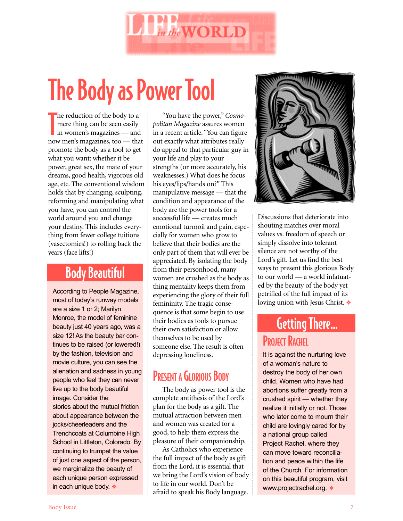

# The Body as Power Tool

he reduction of the body to a<br>
mere thing can be seen easily<br>
in women's magazines — and<br>
now men's magazines, too — that he reduction of the body to a mere thing can be seen easily in women's magazines — and promote the body as a tool to get what you want: whether it be power, great sex, the mate of your dreams, good health, vigorous old age, etc. The conventional wisdom holds that by changing, sculpting, reforming and manipulating what you have, you can control the world around you and change your destiny. This includes everything from fewer college tuitions (vasectomies!) to rolling back the years (face lifts!)

## Body Beautiful

According to People Magazine, most of today's runway models are a size 1 or 2; Marilyn Monroe, the model of feminine beauty just 40 years ago, was a size 12! As the beauty bar continues to be raised (or lowered!) by the fashion, television and movie culture, you can see the alienation and sadness in young people who feel they can never live up to the body beautiful image. Consider the stories about the mutual friction about appearance between the jocks/cheerleaders and the Trenchcoats at Columbine High School in Littleton, Colorado. By continuing to trumpet the value of just one aspect of the person, we marginalize the beauty of each unique person expressed in each unique body. ❖

"You have the power," *Cosmopolitan Magazine* assures women in a recent article. "You can figure out exactly what attributes really do appeal to that particular guy in your life and play to your strengths (or more accurately, his weaknesses.) What does he focus his eyes/lips/hands on?" This manipulative message — that the condition and appearance of the body are the power tools for a successful life — creates much emotional turmoil and pain, especially for women who grow to believe that their bodies are the only part of them that will ever be appreciated. By isolating the body from their personhood, many women are crushed as the body as thing mentality keeps them from experiencing the glory of their full femininity. The tragic consequence is that some begin to use their bodies as tools to pursue their own satisfaction or allow themselves to be used by someone else. The result is often depressing loneliness.

### PRESENT A GLORIOUS BODY

The body as power tool is the complete antithesis of the Lord's plan for the body as a gift. The mutual attraction between men and women was created for a good, to help them express the pleasure of their companionship.

As Catholics who experience the full impact of the body as gift from the Lord, it is essential that we bring the Lord's vision of body to life in our world. Don't be afraid to speak his Body language.



Discussions that deteriorate into shouting matches over moral values vs. freedom of speech or simply dissolve into tolerant silence are not worthy of the Lord's gift. Let us find the best ways to present this glorious Body to our world — a world infatuated by the beauty of the body yet petrified of the full impact of its loving union with Jesus Christ. ❖

## PROJECT RACHEL Getting There…

It is against the nurturing love of a woman's nature to destroy the body of her own child. Women who have had abortions suffer greatly from a crushed spirit — whether they realize it initially or not. Those who later come to mourn their child are lovingly cared for by a national group called Project Rachel, where they can move toward reconciliation and peace within the life of the Church. For information on this beautiful program, visit www.projectrachel.org. ❖